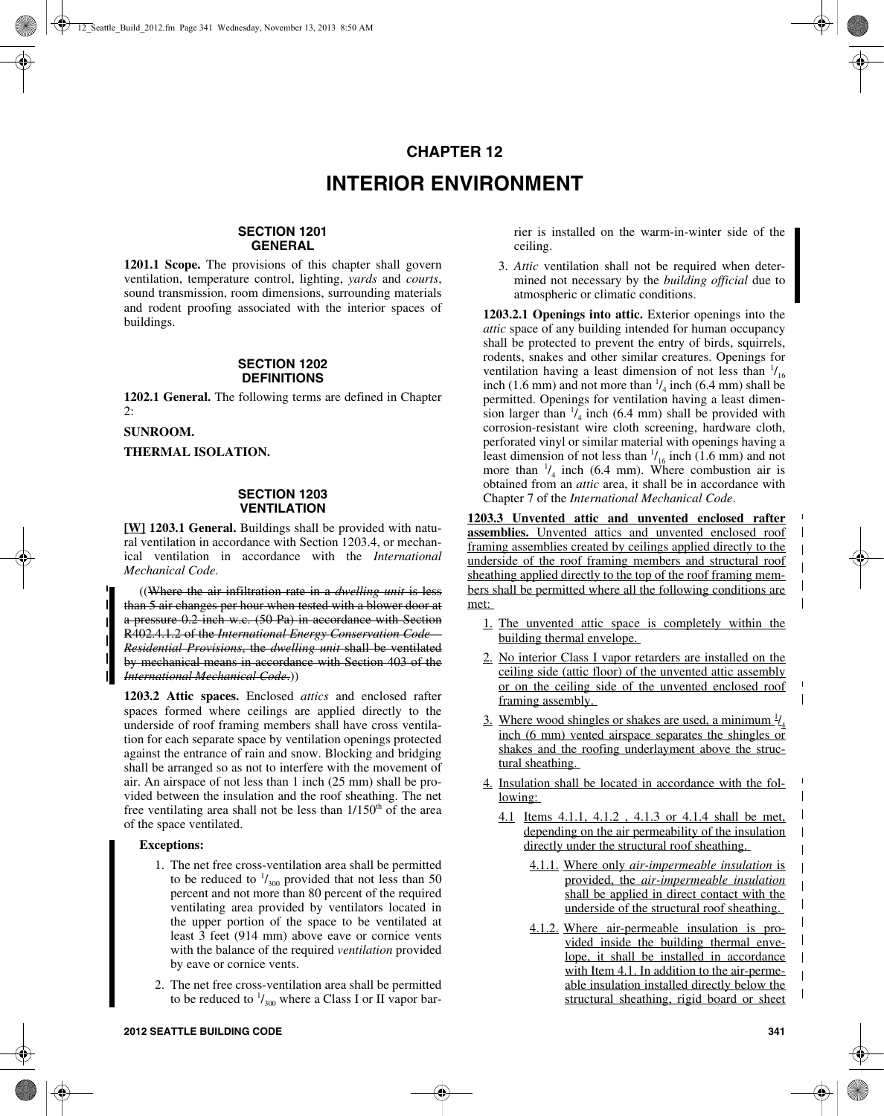# **CHAPTER 12 INTERIOR ENVIRONMENT**

# **SECTION 1201 GENERAL**

**1201.1 Scope.** The provisions of this chapter shall govern ventilation, temperature control, lighting, *yards* and *courts*, sound transmission, room dimensions, surrounding materials and rodent proofing associated with the interior spaces of buildings.

#### **SECTION 1202 DEFINITIONS**

**1202.1 General.** The following terms are defined in Chapter 2:

**SUNROOM.**

**THERMAL ISOLATION.**

# **SECTION 1203 VENTILATION**

**[W] 1203.1 General.** Buildings shall be provided with natural ventilation in accordance with Section 1203.4, or mechanical ventilation in accordance with the *International Mechanical Code*.

((Where the air infiltration rate in a *dwelling unit* is less than 5 air changes per hour when tested with a blower door at a pressure 0.2 inch w.c. (50 Pa) in accordance with Section R402.4.1.2 of the *International Energy Conservation Code— Residential Provisions*, the *dwelling unit* shall be ventilated by mechanical means in accordance with Section 403 of the *International Mechanical Code*.))

**1203.2 Attic spaces.** Enclosed *attics* and enclosed rafter spaces formed where ceilings are applied directly to the underside of roof framing members shall have cross ventilation for each separate space by ventilation openings protected against the entrance of rain and snow. Blocking and bridging shall be arranged so as not to interfere with the movement of air. An airspace of not less than 1 inch (25 mm) shall be provided between the insulation and the roof sheathing. The net free ventilating area shall not be less than  $1/150<sup>th</sup>$  of the area of the space ventilated.

### **Exceptions:**

- 1. The net free cross-ventilation area shall be permitted to be reduced to  $\frac{1}{300}$  provided that not less than 50 percent and not more than 80 percent of the required ventilating area provided by ventilators located in the upper portion of the space to be ventilated at least 3 feet (914 mm) above eave or cornice vents with the balance of the required *ventilation* provided by eave or cornice vents.
- 2. The net free cross-ventilation area shall be permitted to be reduced to  $\frac{1}{300}$  where a Class I or II vapor bar-

rier is installed on the warm-in-winter side of the ceiling.

3. *Attic* ventilation shall not be required when determined not necessary by the *building official* due to atmospheric or climatic conditions.

**1203.2.1 Openings into attic.** Exterior openings into the *attic* space of any building intended for human occupancy shall be protected to prevent the entry of birds, squirrels, rodents, snakes and other similar creatures. Openings for ventilation having a least dimension of not less than  $\frac{1}{16}$ inch (1.6 mm) and not more than  $\frac{1}{4}$  inch (6.4 mm) shall be permitted. Openings for ventilation having a least dimension larger than  $\frac{1}{4}$  inch (6.4 mm) shall be provided with corrosion-resistant wire cloth screening, hardware cloth, perforated vinyl or similar material with openings having a least dimension of not less than  $\frac{1}{16}$  inch (1.6 mm) and not more than  $\frac{1}{4}$  inch (6.4 mm). Where combustion air is obtained from an *attic* area, it shall be in accordance with Chapter 7 of the *International Mechanical Code*.

**1203.3 Unvented attic and unvented enclosed rafter assemblies.** Unvented attics and unvented enclosed roof framing assemblies created by ceilings applied directly to the underside of the roof framing members and structural roof sheathing applied directly to the top of the roof framing members shall be permitted where all the following conditions are met:

- 1. The unvented attic space is completely within the building thermal envelope.
- 2. No interior Class I vapor retarders are installed on the ceiling side (attic floor) of the unvented attic assembly or on the ceiling side of the unvented enclosed roof framing assembly.
- 3. Where wood shingles or shakes are used, a minimum  $\frac{1}{4}$ inch (6 mm) vented airspace separates the shingles or shakes and the roofing underlayment above the structural sheathing.
- 4. Insulation shall be located in accordance with the following:
	- 4.1 Items 4.1.1, 4.1.2 , 4.1.3 or 4.1.4 shall be met, depending on the air permeability of the insulation directly under the structural roof sheathing.
		- 4.1.1. Where only *air-impermeable insulation* is provided, the *air-impermeable insulation* shall be applied in direct contact with the underside of the structural roof sheathing.
		- 4.1.2. Where air-permeable insulation is provided inside the building thermal envelope, it shall be installed in accordance with Item 4.1. In addition to the air-permeable insulation installed directly below the structural sheathing, rigid board or sheet

 $\blacksquare$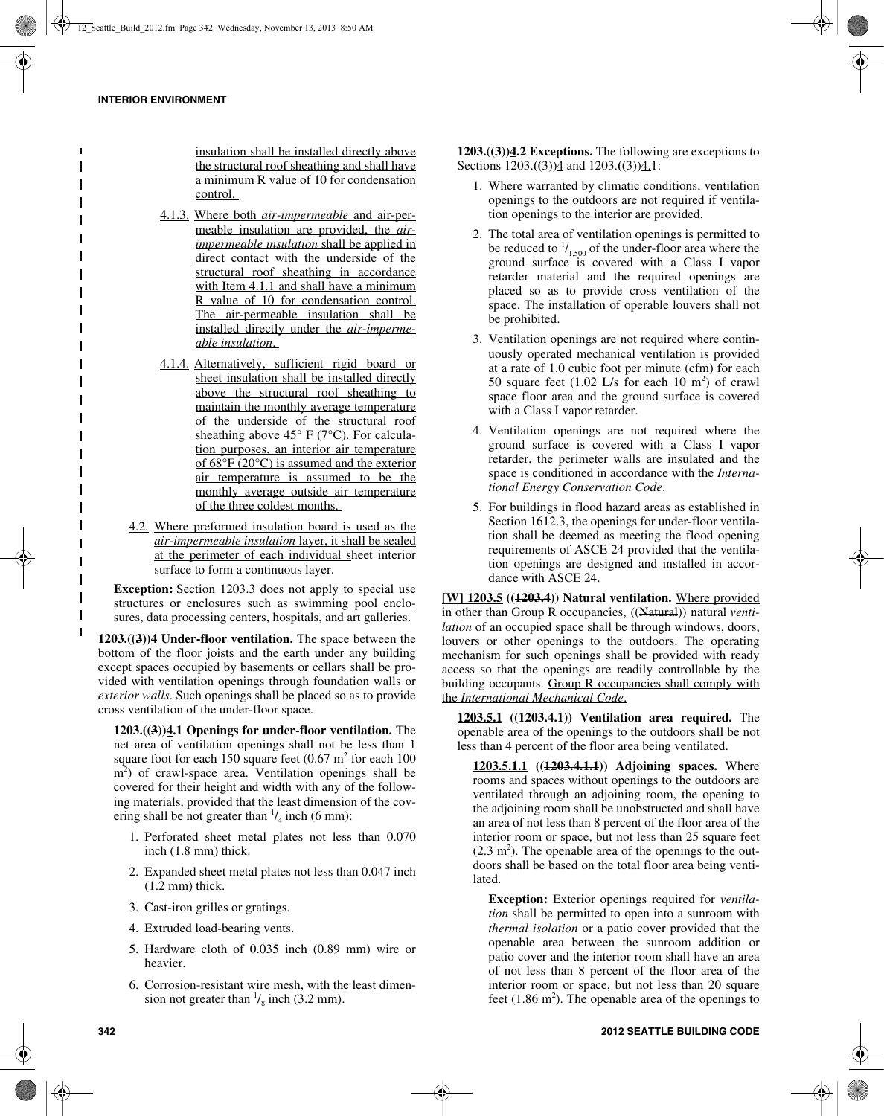insulation shall be installed directly above the structural roof sheathing and shall have a minimum R value of 10 for condensation control.

- 4.1.3. Where both *air-impermeable* and air-permeable insulation are provided, the *airimpermeable insulation* shall be applied in direct contact with the underside of the structural roof sheathing in accordance with Item 4.1.1 and shall have a minimum R value of 10 for condensation control. The air-permeable insulation shall be installed directly under the *air-impermeable insulation*.
- 4.1.4. Alternatively, sufficient rigid board or sheet insulation shall be installed directly above the structural roof sheathing to maintain the monthly average temperature of the underside of the structural roof sheathing above  $45^{\circ}$  F (7<sup>o</sup>C). For calculation purposes, an interior air temperature of 68°F (20°C) is assumed and the exterior air temperature is assumed to be the monthly average outside air temperature of the three coldest months.
- 4.2. Where preformed insulation board is used as the *air-impermeable insulation* layer, it shall be sealed at the perimeter of each individual sheet interior surface to form a continuous layer.

**Exception:** Section 1203.3 does not apply to special use structures or enclosures such as swimming pool enclosures, data processing centers, hospitals, and art galleries.

**1203.((3))4 Under-floor ventilation.** The space between the bottom of the floor joists and the earth under any building except spaces occupied by basements or cellars shall be provided with ventilation openings through foundation walls or *exterior walls*. Such openings shall be placed so as to provide cross ventilation of the under-floor space.

**1203.((3))4.1 Openings for under-floor ventilation.** The net area of ventilation openings shall not be less than 1 square foot for each 150 square feet  $(0.67 \text{ m}^2 \text{ for each } 100$ m<sup>2</sup>) of crawl-space area. Ventilation openings shall be covered for their height and width with any of the following materials, provided that the least dimension of the covering shall be not greater than  $\frac{1}{4}$  inch (6 mm):

- 1. Perforated sheet metal plates not less than 0.070 inch (1.8 mm) thick.
- 2. Expanded sheet metal plates not less than 0.047 inch (1.2 mm) thick.
- 3. Cast-iron grilles or gratings.
- 4. Extruded load-bearing vents.
- 5. Hardware cloth of 0.035 inch (0.89 mm) wire or heavier.
- 6. Corrosion-resistant wire mesh, with the least dimension not greater than  $\frac{1}{8}$  inch (3.2 mm).

**1203.((3))4.2 Exceptions.** The following are exceptions to Sections 1203.**((**3))4 and 1203.**((**3))4.1:

- 1. Where warranted by climatic conditions, ventilation openings to the outdoors are not required if ventilation openings to the interior are provided.
- 2. The total area of ventilation openings is permitted to be reduced to  $\frac{1}{1,500}$  of the under-floor area where the ground surface is covered with a Class I vapor retarder material and the required openings are placed so as to provide cross ventilation of the space. The installation of operable louvers shall not be prohibited.
- 3. Ventilation openings are not required where continuously operated mechanical ventilation is provided at a rate of 1.0 cubic foot per minute (cfm) for each 50 square feet  $(1.02 \text{ L/s}$  for each 10 m<sup>2</sup>) of crawl space floor area and the ground surface is covered with a Class I vapor retarder.
- 4. Ventilation openings are not required where the ground surface is covered with a Class I vapor retarder, the perimeter walls are insulated and the space is conditioned in accordance with the *International Energy Conservation Code*.
- 5. For buildings in flood hazard areas as established in Section 1612.3, the openings for under-floor ventilation shall be deemed as meeting the flood opening requirements of ASCE 24 provided that the ventilation openings are designed and installed in accordance with ASCE 24.

**[W] 1203.5 ((1203.4)) Natural ventilation.** Where provided in other than Group R occupancies, ((Natural)) natural *ventilation* of an occupied space shall be through windows, doors, louvers or other openings to the outdoors. The operating mechanism for such openings shall be provided with ready access so that the openings are readily controllable by the building occupants. Group R occupancies shall comply with the *International Mechanical Code*.

**1203.5.1 ((1203.4.1)) Ventilation area required.** The openable area of the openings to the outdoors shall be not less than 4 percent of the floor area being ventilated.

**1203.5.1.1 ((1203.4.1.1)) Adjoining spaces.** Where rooms and spaces without openings to the outdoors are ventilated through an adjoining room, the opening to the adjoining room shall be unobstructed and shall have an area of not less than 8 percent of the floor area of the interior room or space, but not less than 25 square feet  $(2.3 \text{ m}^2)$ . The openable area of the openings to the outdoors shall be based on the total floor area being ventilated.

**Exception:** Exterior openings required for *ventilation* shall be permitted to open into a sunroom with *thermal isolation* or a patio cover provided that the openable area between the sunroom addition or patio cover and the interior room shall have an area of not less than 8 percent of the floor area of the interior room or space, but not less than 20 square feet  $(1.86 \text{ m}^2)$ . The openable area of the openings to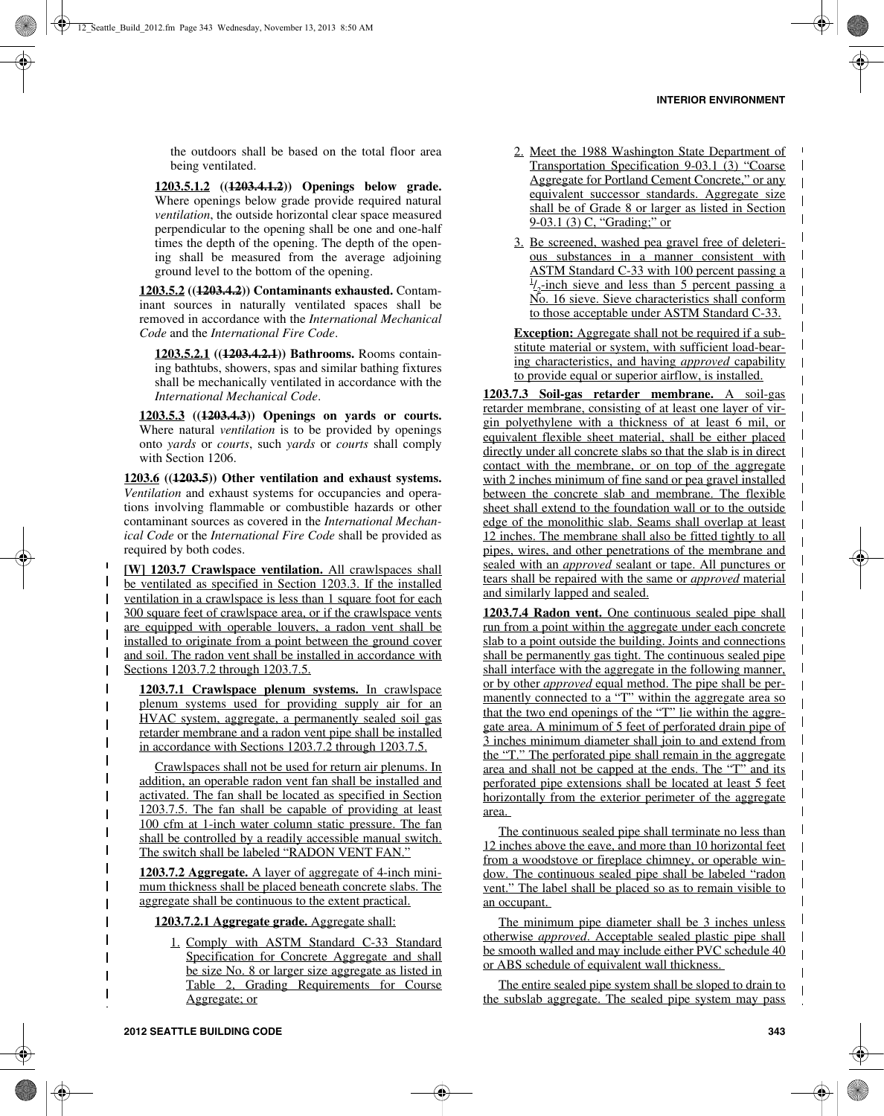$\blacksquare$  $\mathbf I$  $\mathbf{I}$ 

 $\mathbf I$ 

 $\overline{\phantom{a}}$ 

 $\mathbf{I}$ 

 $\overline{\phantom{a}}$ 

 $\mathbf I$ 

 $\mathbf l$ 

 $\mathbf{I}$ 

 $\overline{\phantom{a}}$ 

 $\mathbf l$ 

 $\mathbf I$ 

 $\mathbf I$ 

 $\overline{\phantom{a}}$ 

 $\overline{\phantom{a}}$ 

 $\mathbf I$ 

the outdoors shall be based on the total floor area being ventilated.

**1203.5.1.2 ((1203.4.1.2)) Openings below grade.** Where openings below grade provide required natural *ventilation*, the outside horizontal clear space measured perpendicular to the opening shall be one and one-half times the depth of the opening. The depth of the opening shall be measured from the average adjoining ground level to the bottom of the opening.

**1203.5.2 ((1203.4.2)) Contaminants exhausted.** Contaminant sources in naturally ventilated spaces shall be removed in accordance with the *International Mechanical Code* and the *International Fire Code*.

**1203.5.2.1 ((1203.4.2.1)) Bathrooms.** Rooms containing bathtubs, showers, spas and similar bathing fixtures shall be mechanically ventilated in accordance with the *International Mechanical Code*.

**1203.5.3 ((1203.4.3)) Openings on yards or courts.** Where natural *ventilation* is to be provided by openings onto *yards* or *courts*, such *yards* or *courts* shall comply with Section 1206.

**1203.6 ((1203.5)) Other ventilation and exhaust systems.** *Ventilation* and exhaust systems for occupancies and operations involving flammable or combustible hazards or other contaminant sources as covered in the *International Mechanical Code* or the *International Fire Code* shall be provided as required by both codes.

**[W] 1203.7 Crawlspace ventilation.** All crawlspaces shall be ventilated as specified in Section 1203.3. If the installed ventilation in a crawlspace is less than 1 square foot for each 300 square feet of crawlspace area, or if the crawlspace vents are equipped with operable louvers, a radon vent shall be installed to originate from a point between the ground cover and soil. The radon vent shall be installed in accordance with Sections 1203.7.2 through 1203.7.5.

 $\blacksquare$ 

 $\mathbf{I}$ 

 $\mathbf{I}$  $\overline{\phantom{a}}$  $\mathbf{I}$  $\mathbf{I}$  $\overline{\phantom{a}}$  $\blacksquare$  $\mathbf I$ 

 $\overline{\phantom{a}}$ 

 $\overline{\phantom{a}}$  $\mathbf I$ 

 $\mathbf{I}$ 

 $\mathbf I$ 

 $\blacksquare$  $\mathbf{I}$  $\overline{\phantom{a}}$ I  $\overline{\phantom{a}}$ 

 $\mathbf{I}$  $\mathbf{I}$  $\mathbf I$  $\overline{\phantom{a}}$  $\mathbf{I}$ 

**1203.7.1 Crawlspace plenum systems.** In crawlspace plenum systems used for providing supply air for an HVAC system, aggregate, a permanently sealed soil gas retarder membrane and a radon vent pipe shall be installed in accordance with Sections 1203.7.2 through 1203.7.5.

Crawlspaces shall not be used for return air plenums. In addition, an operable radon vent fan shall be installed and activated. The fan shall be located as specified in Section 1203.7.5. The fan shall be capable of providing at least 100 cfm at 1-inch water column static pressure. The fan shall be controlled by a readily accessible manual switch. The switch shall be labeled "RADON VENT FAN."

**1203.7.2 Aggregate.** A layer of aggregate of 4-inch minimum thickness shall be placed beneath concrete slabs. The aggregate shall be continuous to the extent practical.

**1203.7.2.1 Aggregate grade.** Aggregate shall:

1. Comply with ASTM Standard C-33 Standard Specification for Concrete Aggregate and shall be size No. 8 or larger size aggregate as listed in Table 2, Grading Requirements for Course Aggregate; or

- 2. Meet the 1988 Washington State Department of Transportation Specification 9-03.1 (3) "Coarse Aggregate for Portland Cement Concrete," or any equivalent successor standards. Aggregate size shall be of Grade 8 or larger as listed in Section 9-03.1 (3) C, "Grading;" or
- 3. Be screened, washed pea gravel free of deleterious substances in a manner consistent with ASTM Standard C-33 with 100 percent passing a  $\frac{1}{2}$ -inch sieve and less than 5 percent passing a No. 16 sieve. Sieve characteristics shall conform to those acceptable under ASTM Standard C-33.

**Exception:** Aggregate shall not be required if a substitute material or system, with sufficient load-bearing characteristics, and having *approved* capability to provide equal or superior airflow, is installed.

**1203.7.3 Soil-gas retarder membrane.** A soil-gas retarder membrane, consisting of at least one layer of virgin polyethylene with a thickness of at least 6 mil, or equivalent flexible sheet material, shall be either placed directly under all concrete slabs so that the slab is in direct contact with the membrane, or on top of the aggregate with 2 inches minimum of fine sand or pea gravel installed between the concrete slab and membrane. The flexible sheet shall extend to the foundation wall or to the outside edge of the monolithic slab. Seams shall overlap at least 12 inches. The membrane shall also be fitted tightly to all pipes, wires, and other penetrations of the membrane and sealed with an *approved* sealant or tape. All punctures or tears shall be repaired with the same or *approved* material and similarly lapped and sealed.

**1203.7.4 Radon vent.** One continuous sealed pipe shall run from a point within the aggregate under each concrete slab to a point outside the building. Joints and connections shall be permanently gas tight. The continuous sealed pipe shall interface with the aggregate in the following manner, or by other *approved* equal method. The pipe shall be permanently connected to a "T" within the aggregate area so that the two end openings of the "T" lie within the aggregate area. A minimum of 5 feet of perforated drain pipe of 3 inches minimum diameter shall join to and extend from the "T." The perforated pipe shall remain in the aggregate area and shall not be capped at the ends. The "T" and its perforated pipe extensions shall be located at least 5 feet horizontally from the exterior perimeter of the aggregate area.

The continuous sealed pipe shall terminate no less than 12 inches above the eave, and more than 10 horizontal feet from a woodstove or fireplace chimney, or operable window. The continuous sealed pipe shall be labeled "radon vent." The label shall be placed so as to remain visible to an occupant.

The minimum pipe diameter shall be 3 inches unless otherwise *approved*. Acceptable sealed plastic pipe shall be smooth walled and may include either PVC schedule 40 or ABS schedule of equivalent wall thickness.

The entire sealed pipe system shall be sloped to drain to the subslab aggregate. The sealed pipe system may pass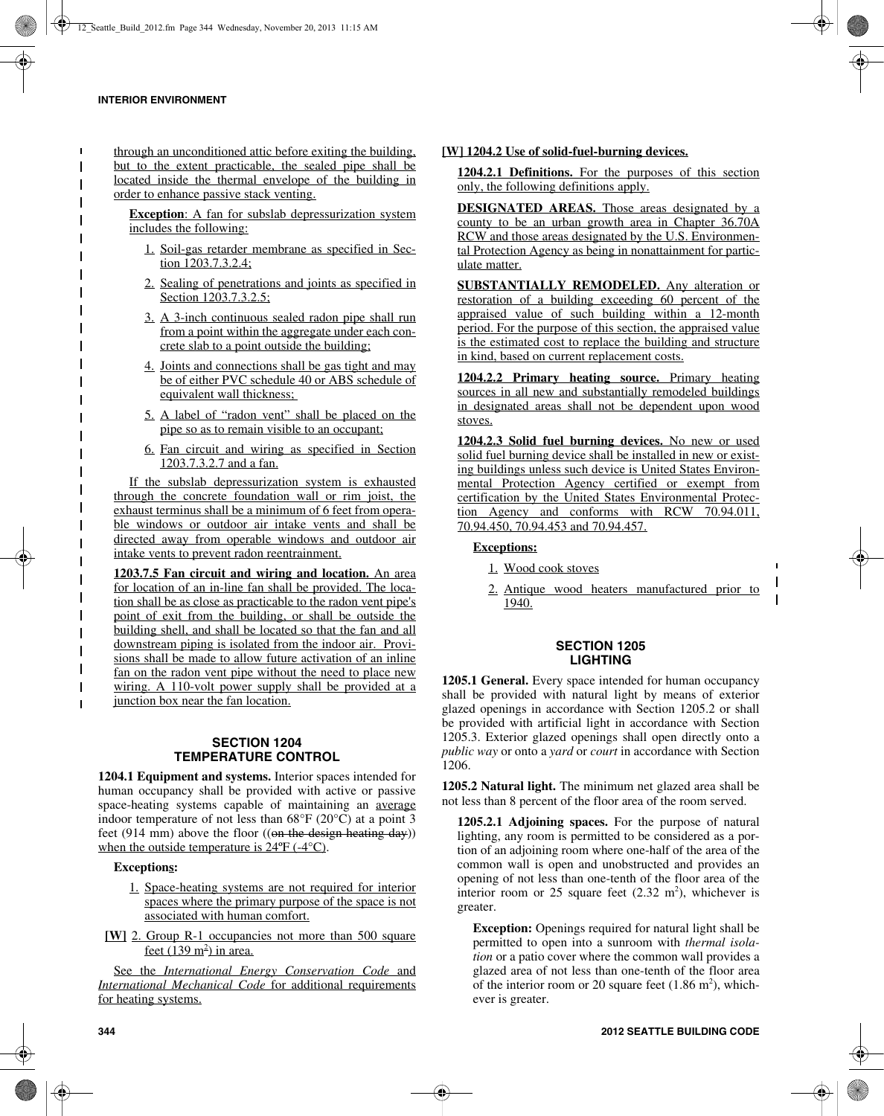through an unconditioned attic before exiting the building, but to the extent practicable, the sealed pipe shall be located inside the thermal envelope of the building in order to enhance passive stack venting.

**Exception**: A fan for subslab depressurization system includes the following:

- 1. Soil-gas retarder membrane as specified in Section 1203.7.3.2.4;
- 2. Sealing of penetrations and joints as specified in Section 1203.7.3.2.5:
- 3. A 3-inch continuous sealed radon pipe shall run from a point within the aggregate under each concrete slab to a point outside the building;
- 4. Joints and connections shall be gas tight and may be of either PVC schedule 40 or ABS schedule of equivalent wall thickness;
- 5. A label of "radon vent" shall be placed on the pipe so as to remain visible to an occupant;
- 6. Fan circuit and wiring as specified in Section 1203.7.3.2.7 and a fan.

If the subslab depressurization system is exhausted through the concrete foundation wall or rim joist, the exhaust terminus shall be a minimum of 6 feet from operable windows or outdoor air intake vents and shall be directed away from operable windows and outdoor air intake vents to prevent radon reentrainment.

**1203.7.5 Fan circuit and wiring and location.** An area for location of an in-line fan shall be provided. The location shall be as close as practicable to the radon vent pipe's point of exit from the building, or shall be outside the building shell, and shall be located so that the fan and all downstream piping is isolated from the indoor air. Provisions shall be made to allow future activation of an inline fan on the radon vent pipe without the need to place new wiring. A 110-volt power supply shall be provided at a junction box near the fan location.

# **SECTION 1204 TEMPERATURE CONTROL**

**1204.1 Equipment and systems.** Interior spaces intended for human occupancy shall be provided with active or passive space-heating systems capable of maintaining an average indoor temperature of not less than 68°F (20°C) at a point 3 feet (914 mm) above the floor  $((\text{on the design heating day}))$ when the outside temperature is  $24^{\circ}F$  (-4 $^{\circ}C$ ).

### **Exceptions:**

- 1. Space-heating systems are not required for interior spaces where the primary purpose of the space is not associated with human comfort.
- **[W]** 2. Group R-1 occupancies not more than 500 square <u>feet (139 m<sup>2</sup>) in area.</u>

See the *International Energy Conservation Code* and *International Mechanical Code* for additional requirements for heating systems.

## **[W] 1204.2 Use of solid-fuel-burning devices.**

**1204.2.1 Definitions.** For the purposes of this section only, the following definitions apply.

**DESIGNATED AREAS.** Those areas designated by a county to be an urban growth area in Chapter 36.70A RCW and those areas designated by the U.S. Environmental Protection Agency as being in nonattainment for particulate matter.

**SUBSTANTIALLY REMODELED.** Any alteration or restoration of a building exceeding 60 percent of the appraised value of such building within a 12-month period. For the purpose of this section, the appraised value is the estimated cost to replace the building and structure in kind, based on current replacement costs.

**1204.2.2 Primary heating source.** Primary heating sources in all new and substantially remodeled buildings in designated areas shall not be dependent upon wood stoves.

**1204.2.3 Solid fuel burning devices.** No new or used solid fuel burning device shall be installed in new or existing buildings unless such device is United States Environmental Protection Agency certified or exempt from certification by the United States Environmental Protection Agency and conforms with RCW 70.94.011, 70.94.450, 70.94.453 and 70.94.457.

### **Exceptions:**

- 1. Wood cook stoves
- 2. Antique wood heaters manufactured prior to 1940.

 $\blacksquare$  $\mathbf{I}$ 

## **SECTION 1205 LIGHTING**

**1205.1 General.** Every space intended for human occupancy shall be provided with natural light by means of exterior glazed openings in accordance with Section 1205.2 or shall be provided with artificial light in accordance with Section 1205.3. Exterior glazed openings shall open directly onto a *public way* or onto a *yard* or *court* in accordance with Section 1206.

**1205.2 Natural light.** The minimum net glazed area shall be not less than 8 percent of the floor area of the room served.

**1205.2.1 Adjoining spaces.** For the purpose of natural lighting, any room is permitted to be considered as a portion of an adjoining room where one-half of the area of the common wall is open and unobstructed and provides an opening of not less than one-tenth of the floor area of the interior room or 25 square feet  $(2.32 \text{ m}^2)$ , whichever is greater.

**Exception:** Openings required for natural light shall be permitted to open into a sunroom with *thermal isolation* or a patio cover where the common wall provides a glazed area of not less than one-tenth of the floor area of the interior room or 20 square feet  $(1.86 \text{ m}^2)$ , whichever is greater.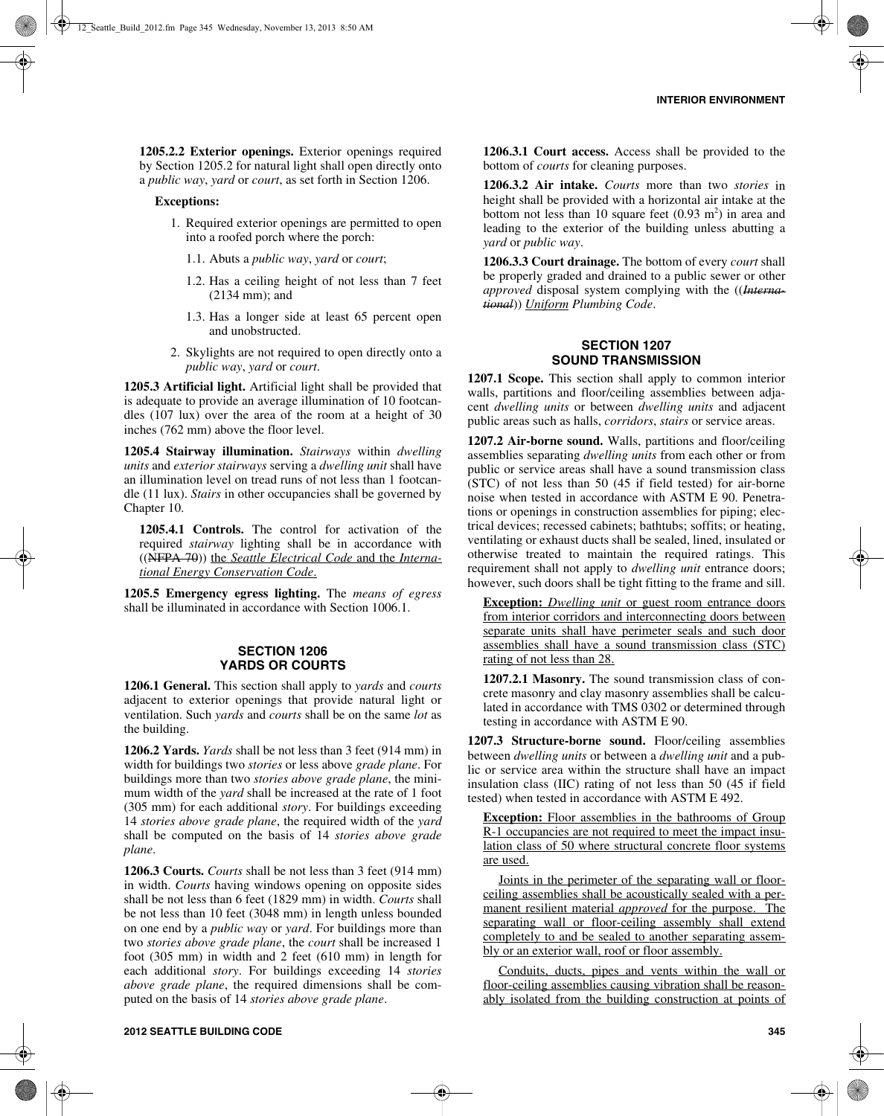**1205.2.2 Exterior openings.** Exterior openings required by Section 1205.2 for natural light shall open directly onto a *public way*, *yard* or *court*, as set forth in Section 1206.

#### **Exceptions:**

- 1. Required exterior openings are permitted to open into a roofed porch where the porch:
	- 1.1. Abuts a *public way*, *yard* or *court*;
	- 1.2. Has a ceiling height of not less than 7 feet (2134 mm); and
	- 1.3. Has a longer side at least 65 percent open and unobstructed.
- 2. Skylights are not required to open directly onto a *public way*, *yard* or *court*.

**1205.3 Artificial light.** Artificial light shall be provided that is adequate to provide an average illumination of 10 footcandles (107 lux) over the area of the room at a height of 30 inches (762 mm) above the floor level.

**1205.4 Stairway illumination.** *Stairways* within *dwelling units* and *exterior stairways* serving a *dwelling unit* shall have an illumination level on tread runs of not less than 1 footcandle (11 lux). *Stairs* in other occupancies shall be governed by Chapter 10.

**1205.4.1 Controls.** The control for activation of the required *stairway* lighting shall be in accordance with ((NFPA 70)) the *Seattle Electrical Code* and the *International Energy Conservation Code*.

**1205.5 Emergency egress lighting.** The *means of egress* shall be illuminated in accordance with Section 1006.1.

#### **SECTION 1206 YARDS OR COURTS**

**1206.1 General.** This section shall apply to *yards* and *courts* adjacent to exterior openings that provide natural light or ventilation. Such *yards* and *courts* shall be on the same *lot* as the building.

**1206.2 Yards.** *Yards* shall be not less than 3 feet (914 mm) in width for buildings two *stories* or less above *grade plane*. For buildings more than two *stories above grade plane*, the minimum width of the *yard* shall be increased at the rate of 1 foot (305 mm) for each additional *story*. For buildings exceeding 14 *stories above grade plane*, the required width of the *yard* shall be computed on the basis of 14 *stories above grade plane*.

**1206.3 Courts.** *Courts* shall be not less than 3 feet (914 mm) in width. *Courts* having windows opening on opposite sides shall be not less than 6 feet (1829 mm) in width. *Courts* shall be not less than 10 feet (3048 mm) in length unless bounded on one end by a *public way* or *yard*. For buildings more than two *stories above grade plane*, the *court* shall be increased 1 foot (305 mm) in width and 2 feet (610 mm) in length for each additional *story*. For buildings exceeding 14 *stories above grade plane*, the required dimensions shall be computed on the basis of 14 *stories above grade plane*.

**1206.3.1 Court access.** Access shall be provided to the bottom of *courts* for cleaning purposes.

**1206.3.2 Air intake.** *Courts* more than two *stories* in height shall be provided with a horizontal air intake at the bottom not less than 10 square feet  $(0.93 \text{ m}^2)$  in area and leading to the exterior of the building unless abutting a *yard* or *public way*.

**1206.3.3 Court drainage.** The bottom of every *court* shall be properly graded and drained to a public sewer or other *approved* disposal system complying with the ((*International*)) *Uniform Plumbing Code*.

## **SECTION 1207 SOUND TRANSMISSION**

**1207.1 Scope.** This section shall apply to common interior walls, partitions and floor/ceiling assemblies between adjacent *dwelling units* or between *dwelling units* and adjacent public areas such as halls, *corridors*, *stairs* or service areas.

**1207.2 Air-borne sound.** Walls, partitions and floor/ceiling assemblies separating *dwelling units* from each other or from public or service areas shall have a sound transmission class (STC) of not less than 50 (45 if field tested) for air-borne noise when tested in accordance with ASTM E 90. Penetrations or openings in construction assemblies for piping; electrical devices; recessed cabinets; bathtubs; soffits; or heating, ventilating or exhaust ducts shall be sealed, lined, insulated or otherwise treated to maintain the required ratings. This requirement shall not apply to *dwelling unit* entrance doors; however, such doors shall be tight fitting to the frame and sill.

**Exception:** *Dwelling unit* or guest room entrance doors from interior corridors and interconnecting doors between separate units shall have perimeter seals and such door assemblies shall have a sound transmission class (STC) rating of not less than 28.

**1207.2.1 Masonry.** The sound transmission class of concrete masonry and clay masonry assemblies shall be calculated in accordance with TMS 0302 or determined through testing in accordance with ASTM E 90.

**1207.3 Structure-borne sound.** Floor/ceiling assemblies between *dwelling units* or between a *dwelling unit* and a public or service area within the structure shall have an impact insulation class (IIC) rating of not less than 50 (45 if field tested) when tested in accordance with ASTM E 492.

**Exception:** Floor assemblies in the bathrooms of Group R-1 occupancies are not required to meet the impact insulation class of 50 where structural concrete floor systems are used.

Joints in the perimeter of the separating wall or floorceiling assemblies shall be acoustically sealed with a permanent resilient material *approved* for the purpose. The separating wall or floor-ceiling assembly shall extend completely to and be sealed to another separating assembly or an exterior wall, roof or floor assembly.

Conduits, ducts, pipes and vents within the wall or floor-ceiling assemblies causing vibration shall be reasonably isolated from the building construction at points of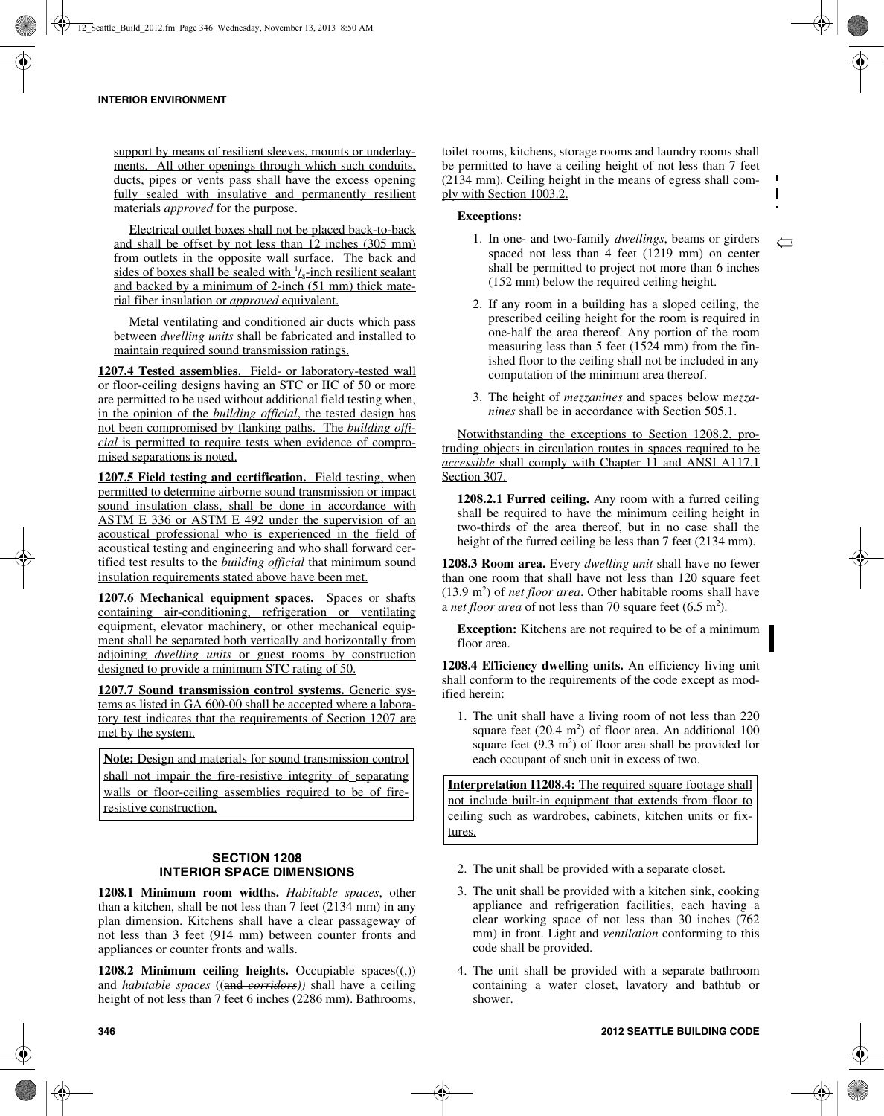support by means of resilient sleeves, mounts or underlayments. All other openings through which such conduits, ducts, pipes or vents pass shall have the excess opening fully sealed with insulative and permanently resilient materials *approved* for the purpose.

Electrical outlet boxes shall not be placed back-to-back and shall be offset by not less than 12 inches (305 mm) from outlets in the opposite wall surface. The back and sides of boxes shall be sealed with  $\frac{1}{s}$ -inch resilient sealant and backed by a minimum of  $2$ -inch  $(51 \text{ mm})$  thick material fiber insulation or *approved* equivalent.

Metal ventilating and conditioned air ducts which pass between *dwelling units* shall be fabricated and installed to maintain required sound transmission ratings.

**1207.4 Tested assemblies**. Field- or laboratory-tested wall or floor-ceiling designs having an STC or IIC of 50 or more are permitted to be used without additional field testing when, in the opinion of the *building official*, the tested design has not been compromised by flanking paths. The *building official* is permitted to require tests when evidence of compromised separations is noted.

**1207.5 Field testing and certification.** Field testing, when permitted to determine airborne sound transmission or impact sound insulation class, shall be done in accordance with ASTM E 336 or ASTM E 492 under the supervision of an acoustical professional who is experienced in the field of acoustical testing and engineering and who shall forward certified test results to the *building official* that minimum sound insulation requirements stated above have been met.

**1207.6 Mechanical equipment spaces.** Spaces or shafts containing air-conditioning, refrigeration or ventilating equipment, elevator machinery, or other mechanical equipment shall be separated both vertically and horizontally from adjoining *dwelling units* or guest rooms by construction designed to provide a minimum STC rating of 50.

**1207.7 Sound transmission control systems.** Generic systems as listed in GA 600-00 shall be accepted where a laboratory test indicates that the requirements of Section 1207 are met by the system.

**Note:** Design and materials for sound transmission control shall not impair the fire-resistive integrity of separating walls or floor-ceiling assemblies required to be of fireresistive construction.

# **SECTION 1208 INTERIOR SPACE DIMENSIONS**

**1208.1 Minimum room widths.** *Habitable spaces*, other than a kitchen, shall be not less than 7 feet (2134 mm) in any plan dimension. Kitchens shall have a clear passageway of not less than 3 feet (914 mm) between counter fronts and appliances or counter fronts and walls.

**1208.2 Minimum ceiling heights.** Occupiable spaces $((,))$ and *habitable spaces* ((and *corridors))* shall have a ceiling height of not less than 7 feet 6 inches (2286 mm). Bathrooms, toilet rooms, kitchens, storage rooms and laundry rooms shall be permitted to have a ceiling height of not less than 7 feet (2134 mm). Ceiling height in the means of egress shall comply with Section 1003.2.

# **Exceptions:**

1. In one- and two-family *dwellings*, beams or girders spaced not less than 4 feet (1219 mm) on center shall be permitted to project not more than 6 inches (152 mm) below the required ceiling height.

 $\overline{\mathcal{C}}$ 

 $\mathbf{I}$ 

- 2. If any room in a building has a sloped ceiling, the prescribed ceiling height for the room is required in one-half the area thereof. Any portion of the room measuring less than 5 feet (1524 mm) from the finished floor to the ceiling shall not be included in any computation of the minimum area thereof.
- 3. The height of *mezzanines* and spaces below m*ezzanines* shall be in accordance with Section 505.1.

Notwithstanding the exceptions to Section 1208.2, protruding objects in circulation routes in spaces required to be *accessible* shall comply with Chapter 11 and ANSI A117.1 Section 307.

**1208.2.1 Furred ceiling.** Any room with a furred ceiling shall be required to have the minimum ceiling height in two-thirds of the area thereof, but in no case shall the height of the furred ceiling be less than 7 feet (2134 mm).

**1208.3 Room area.** Every *dwelling unit* shall have no fewer than one room that shall have not less than 120 square feet  $(13.9 \text{ m}^2)$  of *net floor area*. Other habitable rooms shall have a *net floor area* of not less than 70 square feet  $(6.5 \text{ m}^2)$ .

**Exception:** Kitchens are not required to be of a minimum floor area.

**1208.4 Efficiency dwelling units.** An efficiency living unit shall conform to the requirements of the code except as modified herein:

1. The unit shall have a living room of not less than 220 square feet  $(20.4 \text{ m}^2)$  of floor area. An additional 100 square feet  $(9.3 \text{ m}^2)$  of floor area shall be provided for each occupant of such unit in excess of two.

**Interpretation I1208.4:** The required square footage shall not include built-in equipment that extends from floor to ceiling such as wardrobes, cabinets, kitchen units or fixtures.

- 2. The unit shall be provided with a separate closet.
- 3. The unit shall be provided with a kitchen sink, cooking appliance and refrigeration facilities, each having a clear working space of not less than 30 inches (762 mm) in front. Light and *ventilation* conforming to this code shall be provided.
- 4. The unit shall be provided with a separate bathroom containing a water closet, lavatory and bathtub or shower.